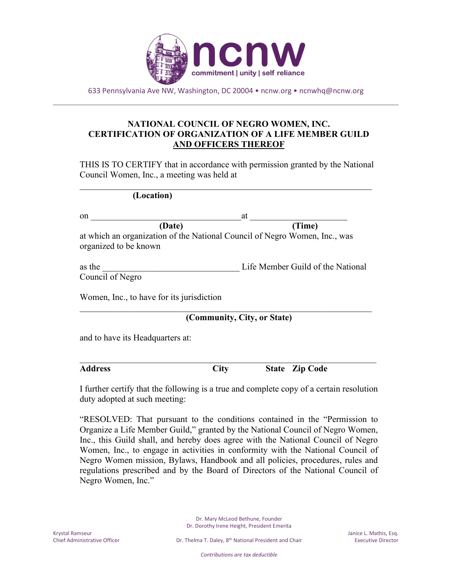

633 Pennsylvania Ave NW, Washington, DC 20004 • ncnw.org • ncnwhq@ncnw.org

## **NATIONAL COUNCIL OF NEGRO WOMEN, INC. CERTIFICATION OF ORGANIZATION OF A LIFE MEMBER GUILD AND OFFICERS THEREOF**

THIS IS TO CERTIFY that in accordance with permission granted by the National Council Women, Inc., a meeting was held at

 $\mathcal{L}_\text{G}$ 

| (Location) |
|------------|
|            |

| on                                        | at                                                                         |
|-------------------------------------------|----------------------------------------------------------------------------|
| (Date)                                    | (Time)                                                                     |
| organized to be known                     | at which an organization of the National Council of Negro Women, Inc., was |
| as the<br>Council of Negro                | Life Member Guild of the National                                          |
| Women, Inc., to have for its jurisdiction |                                                                            |

 $\mathcal{L}_\text{G}$ 

**(Community, City, or State)**

and to have its Headquarters at:

 $\_$  , and the set of the set of the set of the set of the set of the set of the set of the set of the set of the set of the set of the set of the set of the set of the set of the set of the set of the set of the set of th **Address City State Zip Code**

I further certify that the following is a true and complete copy of a certain resolution duty adopted at such meeting:

"RESOLVED: That pursuant to the conditions contained in the "Permission to Organize a Life Member Guild," granted by the National Council of Negro Women, Inc., this Guild shall, and hereby does agree with the National Council of Negro Women, Inc., to engage in activities in conformity with the National Council of Negro Women mission, Bylaws, Handbook and all policies, procedures, rules and regulations prescribed and by the Board of Directors of the National Council of Negro Women, Inc."

> Dr. Mary McLeod Bethune, Founder Dr. Dorothy Irene Height, President Emerita

*Contributions are tax deductible*